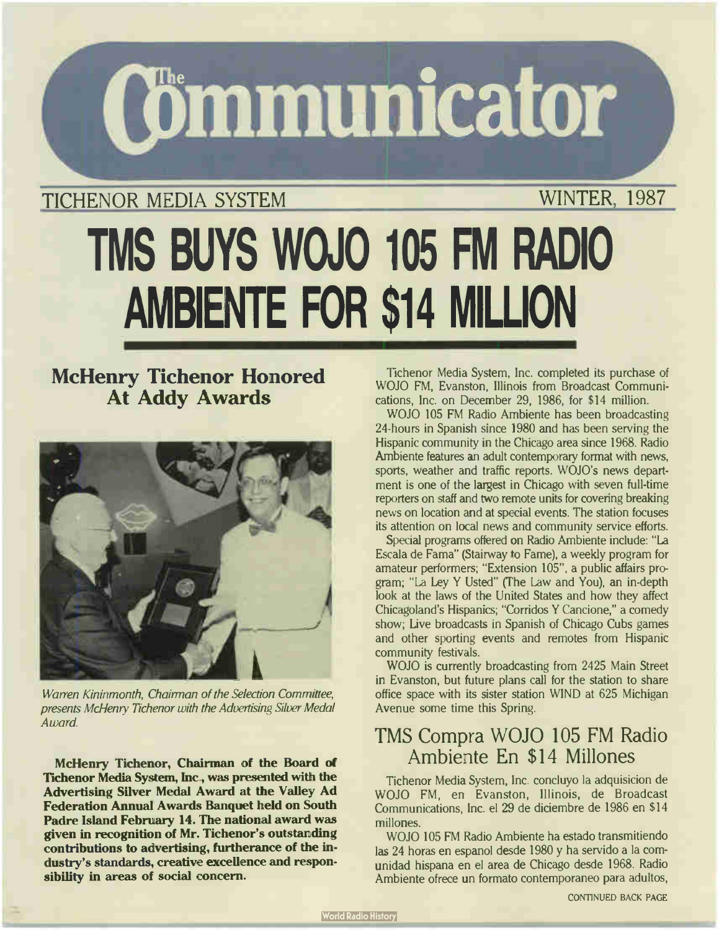**(Gmmunicator** 

## TICHENOR MEDIA SYSTEM WINTER, 1987

# TMS BUYS WOJO 105 Fivl RADIO AMBIENTE FOR \$14 MILLION

## McHenry Tichenor Honored At Addy Awards



Warren Kininmonth, Chairman of the Selection Committee, presents McHenry Tichenor with the Advertising Silver Medal Award.

McHenry Tichenor, Chairman of the Board of Tichenor Media System, Inc, was presented with the Advertising Silver Medal Award at the Valley Ad Federation Annual Awards Banquet held on South Padre Island February 14. The national award was given in recognition of Mr. Tichenor's outstanding contributions to advertising, furtherance of the industry's standards, creative excellence and responsibility in areas of social concern.

Tichenor Media System, Inc. completed its purchase of WOJO FM, Evanston, Illinois from Broadcast Communications, Inc. on December 29, 1986, for \$ 14 million.

WOJO 105 FM Radio Ambiente has been broadcasting 24-hours in Spanish since 1980 and has been serving the Hispanic community in the Chicago area since 1968. Radio Ambiente features an adult contemporary format with news, sports, weather and traffic reports. WOJO's news department is one of the largest in Chicago with seven full-time reporters on staff and two remote units for covering breaking news on location and at special events. The station focuses its attention on local news and community service efforts.

Special programs offered on Radio Ambiente include: " La Escala de Fama" (Stairway to Fame), a weekly program for amateur performers; "Extension 105", a public affairs program; "La Ley Y Usted" (The Law and You), an in-depth look at the laws of the United States and how they affect Chicagoland's Hispanics; "Corridos Y Cancione," a comedy show; Live broadcasts in Spanish of Chicago Cubs games and other sporting events and remotes from Hispanic community festivals.

WOJO is currently broadcasting from 2425 Main Street in Evanston, but future plans call for the station to share office space with its sister station WIND at 625 Michigan Avenue some time this Spring.

## TMS Compra WOJO <sup>105</sup> FM Radio Ambiente En \$14 Millones

Tichenor Media System, Inc. concluyo la adquisicion de WOJO FM, en Evanston, Illinois, de Broadcast Communications, Inc. el 29 de diciembre de 1986 en \$ 14 millones.

WOJO <sup>105</sup> FM Radio Ambiente ha estado transmitiendo las <sup>24</sup> horas en espanol desde 1980 y ha servido a la comunidad hispana en el area de Chicago desde 1968. Radio Ambiente ofrece un formato contemporaneo para adultos,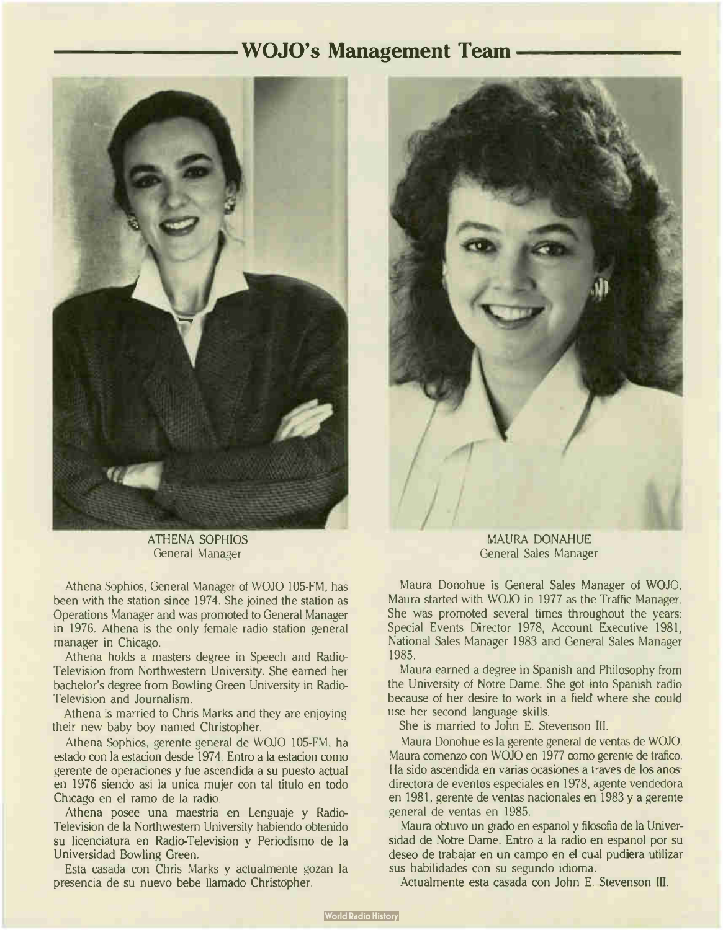### WOJO's Management Team



ATHENA SOPHIOS General Manager

Athena Sophios, General Manager of WOJO 105-FM, has been with the station since 1974. She joined the station as Operations Manager and was promoted to General Manager in 1976. Athena is the only female radio station general manager in Chicago.

Athena holds a masters degree in Speech and Radio-Television from Northwestern University. She earned her bachelor's degree from Bowling Green University in Radio-Television and Journalism.

Athena is married to Chris Marks and they are enjoying their new baby boy named Christopher.

Athena Sophios, gerente general de WOJO 105-FM, ha estado con la estacion desde 1974. Entro a la estacion como gerente de operaciones y fue ascendida a su puesto actual en 1976 siendo asi la unica mujer con tal titulo en todo Chicago en el ramo de la radio.

Athena posee una maestria en Lenguaje y Radio-Television de la Northwestern University habiendo obtenido su licenciatura en Radio-Television y Periodismo de la Universidad Bowling Green.

Esta casada con Chris Marks y actualmente gozan la presencia de su nuevo bebe llamado Christópher.



MAURA DONAHUE General Sales Manager

Maura Donohue is General Sales Manager ot WOJO. Maura started with WOJO in 1977 as the Traffic Manager. She was promoted several times throughout the years: Special Events Director 1978, Account Executive 1981, National Sales Manager 1983 and General Sales Manager 1985.

Maura earned a degree in Spanish and Philosophy from the University of Notre Dame. She got into Spanish radio because of her desire to work in a field where she could use her second language skills.

She is married to John E. Stevenson III.

Maura Donohue es la gerente general de yentas de WOJO. Maura comenzo con WOJO en 1977 como gerente de trafico. Ha sido ascendida en varias ocasiones a traves de los anos: directora de eventos especiales en 1978, agente vendedora en 1981. gerente de yentas nacionales en 1983 y a gerente general de yentas en 1985.

Maura obtuvo un grado en espanol y filosofia de la Universidad de Notre Dame. Entro a la radio en espanol por su deseo de trabajar en un campo en el cual pudiera utilizar sus habilidades con su segundo idioma.

Actualmente esta casada con John E. Stevenson Ill.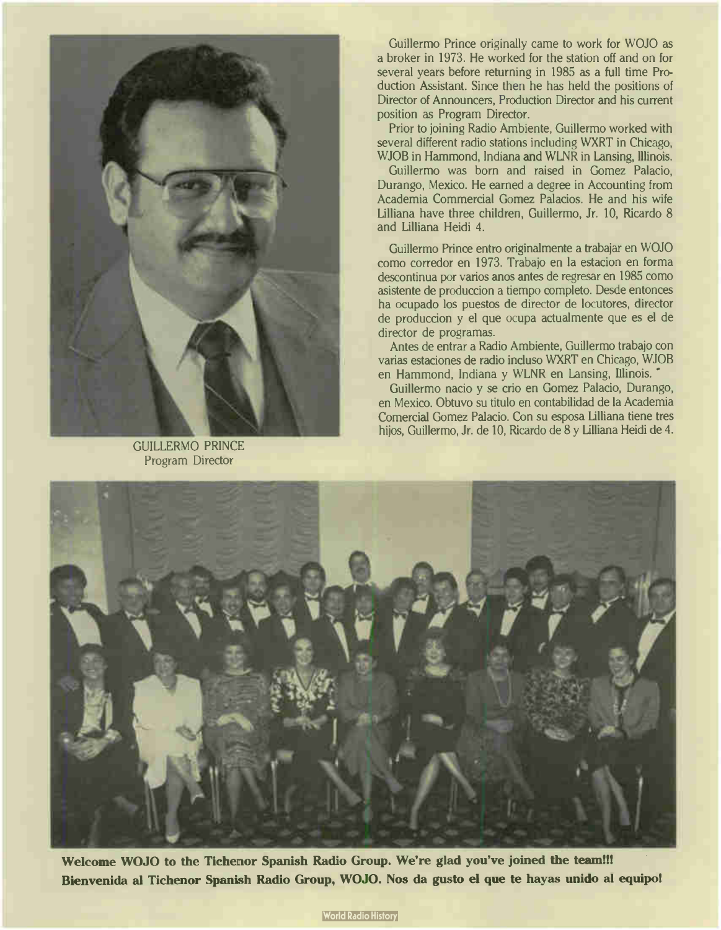

GUILLERMO PRINCE Program Director

Guillermo Prince originally came to work for WOJO as a broker in 1973. He worked for the station off and on for several years before returning in 1985 as a full time Production Assistant. Since then he has held the positions of Director of Announcers, Production Director and his current position as Program Director.

Prior to joining Radio Ambiente, Guillermo worked with several different radio stations induding WXRT in Chicago, WJOB in Hammond, Indiana and WLNR in Lansing, Illinois.

Guillermo was born and raised in Gomez Palacio, Durango, Mexico. He earned a degree in Accounting from Academia Commercial Gomez Palacios. He and his wife Lilliana have three children, Guillermo, Jr. 10, Ricardo 8 and Lilliana Heidi 4.

Guillermo Prince entro originalmente a trabajar en WOJO como corredor en 1973. Trabajo en la estacion en forma descontinua por varios anos antes de regresar en 1985 como asistente de produccion a tiempo completo. Desde entonces ha ocupado los puestos de director de locutores, director de produccion y el que ocupa actualmente que es el de director de programas.

Antes de entrar a Radio Ambiente, Guillermo trabajo con varias estaciones de radio incluso WXRT en Chicago, WJOB en Hammond, Indiana y WLNR en Lansing, Illinois. '

Guillermo nacio y se crio en Gomez Palacio, Durango, en Mexico. Obtuvo su titulo en contabilidad de la Academia Comercial Gomez Palacio. Con su esposa Lilliana tiene tres hijos, Guillermo, Jr. de 10, Ricardo de 8 y Lilliana Heidi de 4.



Welcome WOJO to the Tichenor Spanish Radio Group. We're glad you've joined the team!!! Bienvenida al Tichenor Spanish Radio Group, WOJO. Nos da gusto el que te hayas unido al equipo!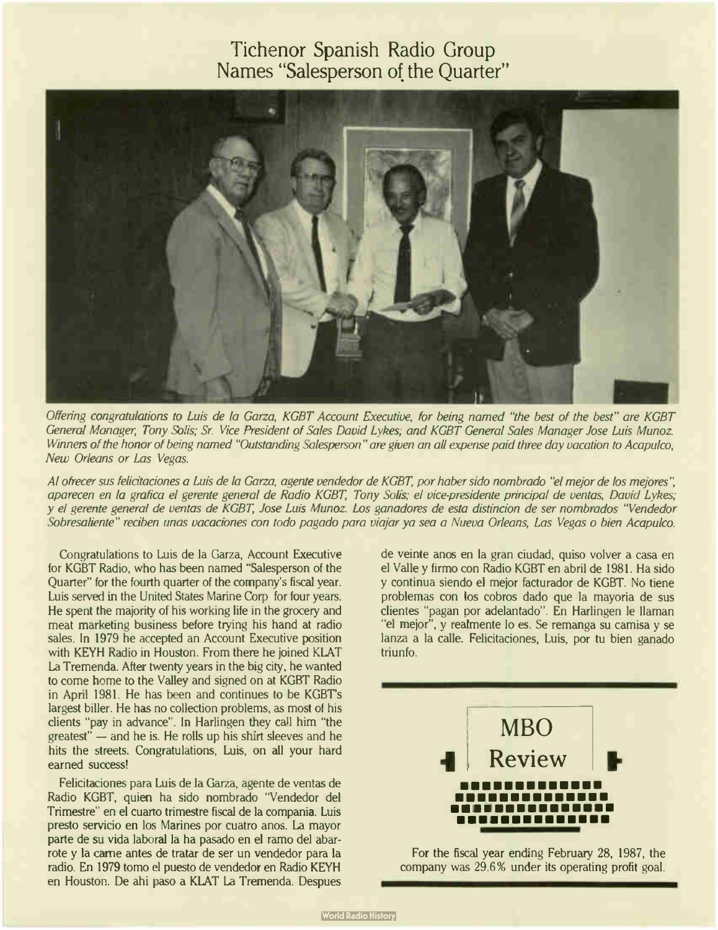## Tichenor Spanish Radio Group Names "Salesperson of the Quarter"



Offering congratulations to Luis de la Garza, KGBT Account Executive, for being named "the best of the best" are KGBT General Manager, Tony Solis; Sr. Vice President of Sales David Lykes; and KGBT General Sales Manager Jose Luis Munoz Winners of the honor of being named "Outstanding Salesperson" are given an all expense paid three day vacation to Acapulco, New Orleans or Las Vegas.

Al ofrecer sus felicitaciones a Luis de la Garza, agente vendedor de KGBT, por haber sido nombrado "el mejor de los mejores", aparecen en la grafica el gerente general de Radio KGBT, Tony Solis; el vice-presidente principal de yentas, David Lykes; y el gerente general de ventas de KGBT, Jose Luis Munoz. Los ganadores de esta distincion de ser nombrados "Vendedor Sobresaliente" reciben unas vacaciones con todo pagado para viajar ya sea a Nueva Orleans, Las Vegas o bien Acapulco.

Congratulations to Luis de la Garza, Account Executive for KGBT Radio, who has been named "Salesperson of the Quarter" for the fourth quarter of the company's fiscal year. Luis served in the United States Marine Corp for four years. He spent the majority of his working life in the grocery and meat marketing business before trying his hand at radio sales. In 1979 he accepted an Account Executive position with KEYH Radio in Houston. From there he joined KLAT La Tremenda. After twenty years in the big city, he wanted to come home to the Valley and signed on at KGBT Radio in April 1981. He has been and continues to be KGBT's largest biller. He has no collection problems, as most of his clients "pay in advance". In Harlingen they call him "the greatest" — and he is. He rolls up his shirt sleeves and he hits the streets. Congratulations, Luis, on all your hard earned success!

Felicitaciones para Luis de la Garza, agente de yentas de Radio KGBT, quien ha sido nombrado "Vendedor del Trimestre" en el cuarto trimestre fiscal de la compania. Luis presto servicio en los Marines por cuatro anos. La mayor parte de su vida laboral la ha pasado en el ramo del abarrote y la came antes de tratar de ser un vendedor para la radio. En 1979 tomo el puesto de vendedor en Radio KEYH en Houston. De ahi paso a KLAT La Tremenda. Despues

de veinte anos en la gran ciudad, quiso volver a casa en el Valle y firmo con Radio KGBT en abril de 1981. Ha sido y continua siendo el mejor facturador de KGBT. No tiene problemas con los cobros dado que la mayoria de sus clientes " pagan por adelantado". En Harlingen le llaman "el mejor", y realmente lo es. Se remanga su camisa y se lanza a la calle. Felicitaciones, Luis, por tu bien ganado triunfo.



For the fiscal year ending February 28, 1987, the company was 29.6% under its operating profit goal.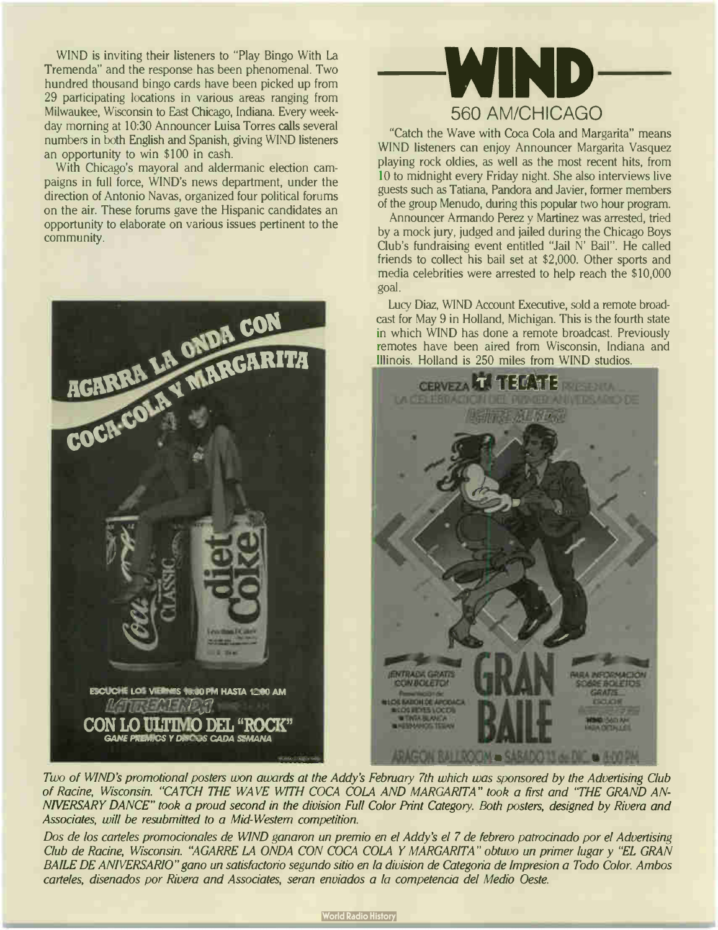WIND is inviting their listeners to "Play Bingo With La Tremenda" and the response has been phenomenal. Two hundred thousand bingo cards have been picked up from 29 participating locations in various areas ranging from Milwaukee, Wisconsin to East Chicago, Indiana. Every weekday morning at 10:30 Announcer Luisa Torres calls several numbers in both English and Spanish, giving WIND listeners an opportunity to win \$100 in cash.

With Chicago's mayoral and aldermanic election campaigns in full force, WIND's news department, under the direction of Antonio Navas, organized four political forums on the air. These forums gave the Hispanic candidates an opportunity to elaborate on various issues pertinent to the community.





"Catch the Wave with Coca Cola and Margarita" means WIND listeners can enjoy Announcer Margarita Vasquez playing rock oldies, as well as the most recent hits, from 10 to midnight every Friday night. She also interviews live guests such as Tatiana, Pandora and Javier, former members of the group Menudo, during this popular two hour program.

Announcer Armando Perez y Martinez was arrested, tried by a mock jury, judged and jailed during the Chicago Boys Club's fundraising event entitled "Jail N' Bail". He called friends to collect his bail set at \$2,000. Other sports and media celebrities were arrested to help reach the \$ 10,000 goal.

Lucy Diaz, WIND Account Executive, sold a remote broadcast for May 9 in Holland, Michigan. This is the fourth state in which WIND has done a remote broadcast. Previously remotes have been aired from Wisconsin, Indiana and Illinois. Holland is 250 miles from WIND studios.



Two of WIND'S promotional posters won awards at the Addy's February 7th which was sponsored by the Advertising Club of Racine, Wisconsin. "CATCH THE WAVE WITH COCA COLA AND MARGARITA" took a first and "THE GRAND AN-NIVERSARY DANCE" took a proud second in the division Full Color Print Category. Both posters, designed by Rivera and Associates, will be resubmitted to a Mid- Western competition.

Dos de los carteles promocionales de WIND ganaron un premio en el Addy's el 7 de febrero patrocinado por el Advertising Club de Racine, Wisconsin. "AGARRE LA ONDA CON COCA COLA Y MARGARITA" obtuvo un primer lugar y "EL GRAN BAILE DE ANIVERSARIO" gano un satisfactorio segundo sitio en la division de Categona de Impresion a Todo Color. Ambos carteles, disenados por Rivera and Associates, seran enviados a la competencia del Medio Oeste.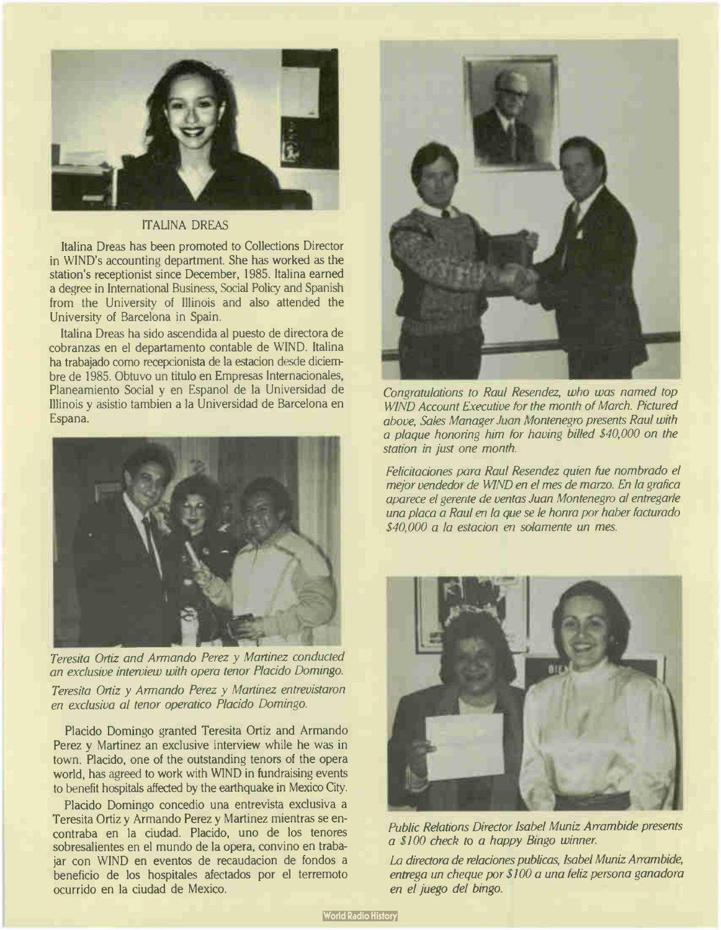

#### ITALINA DREAS

Italina Dreas has been promoted to Collections Director in W1ND's accounting department. She has worked as the station's receptionist since December, 1985. Italina earned a degree in International Business, Social Policy and Spanish from the University of Illinois and also attended the University of Barcelona in Spain.

Italina Dreas ha sido ascendida al puesto de directora de cobranzas en el departamento contable de WIND. Italina ha trabajado como recepcionista de la estacion desde diciembre de 1985. Obtuvo un titulo en Empresas Internacionales, Planeamiento Social y en Espanol de la Universidad de Illinois y asistio tambien a la Universidad de Barcelona en Espana.



Teresita Ortiz and Armando Perez y Martinez conducted an exclusive interview with opera tenor Placido Domingo.

Teresita Ortiz y Armando Perez y Martinez entrevistaron en exclusiva al tenor operatico Placido Domingo.

Placido Domingo granted Teresita Ortiz and Armando Perez y Martinez an exclusive interview while he was in town. Placido, one of the outstanding tenors of the opera world, has agreed to work with WIND in fundraising events to benefit hospitals affected by the earthquake in Mexico City.

Placido Domingo concedio una entrevista exclusiva a Teresita Ortiz y Armando Perez y Martinez mientras se encontraba en la ciudad. Placido, uno de los tenores sobresalientes en el mundo de la opera, convino en trabajar con WIND en eventos de recaudacion de fondos a beneficio de los hospitales afectados por el terremoto ocurrido en la ciudad de Mexico.



Congratulations to Raul Resendez, who was named top WIND Account Executive for the month of March. Pictured above, Sales Manager Juan Montenegro presents Raul with a plaque honoring him for having billed \$40,000 on the station in just one month.

Felicitaciones para Raul Resendez quien fue nombrado el mejor vendedor de WIND en el mes de marzo. En la grafica aparece el gerente de yentas Juan Montenegro al entregarle una placa a Raul en la que se le honra por haber facturado \$40,000 a la estacion en solamente un mes.



Public Relations Director Isabel Muniz Arrambide presents a \$ 100 check to a happy Bingo winner.

La directora de relaciones publicas, Isabel Muniz Arrambide, entrega un cheque por \$100 a una feliz persona ganadora en el juego del bingo.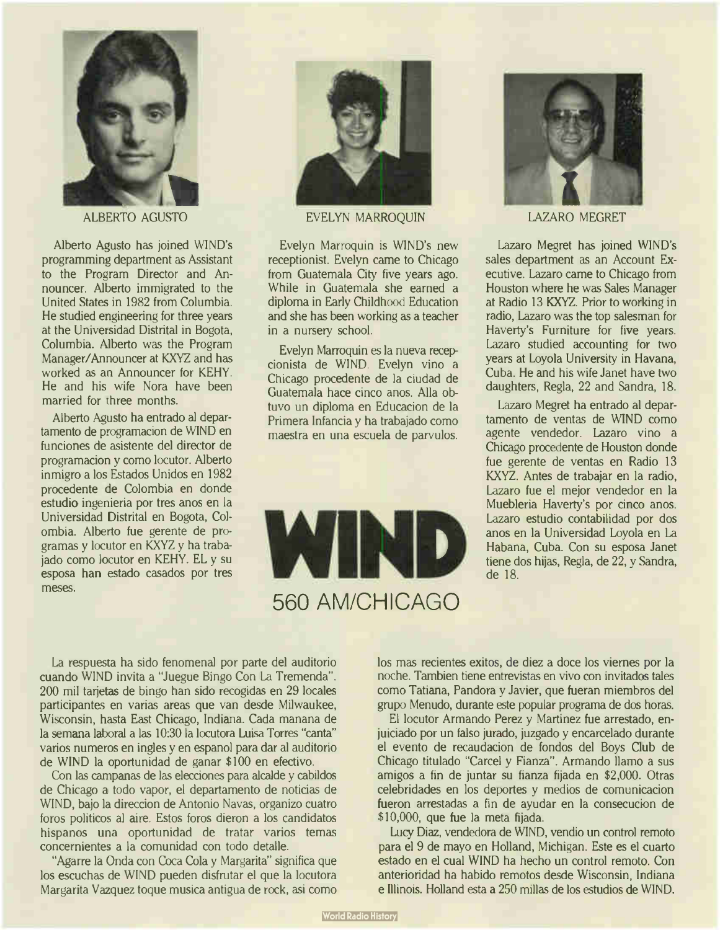

ALBERTO AGUSTO

Alberto Agusto has joined WIND's programming department as Assistant to the Program Director and Announcer. Alberto immigrated to the United States in 1982 from Columbia. He studied engineering for three years at the Universidad Distrital in Bogota, Columbia. Alberto was the Program Manager/Announcer at KXYZ and has worked as an Announcer for KEHY. He and his wife Nora have been married for three months.

Alberto Agusto ha entrado al departamento de programacion de WIND en funciones de asistente del director de programacion y como locutor. Alberto inmigro a los Estados Unidos en 1982 procedente de Colombia en donde estudio ingenieria por tres anos en la Universidad Distrital en Bogota, Colombia. Alberto fue gerente de programas y locutor en KXYZ y ha trabajado como locutor en KEHY. EL y su esposa han estado casados por tres meses.



EVELYN MARROQUIN

Evelyn Marroquin is WIND's new receptionist. Evelyn came to Chicago from Guatemala City five years ago. While in Guatemala she earned a diploma in Early Childhood Education and she has been working as a teacher in a nursery school.

Evelyn Marroquin es la nueva recepcionista de WIND. Evelyn vino a Chicago procedente de la ciudad de Guatemala hace cinco anos. Alla obtuvo un diploma en Educacion de la Primera Infancia y ha trabajado como maestra en una escuela de parvulos.





LAZARO MEGRET

Lazaro Megret has joined WIND's sales department as an Account Executive. Lazaro came to Chicago from Houston where he was Sales Manager at Radio 13 KXYZ. Prior to working in radio, Lazaro was the top salesman for Haverty's Furniture for five years. Lazaro studied accounting for two years at Loyola University in Havana, Cuba. He and his wife Janet have two daughters, Regla, 22 and Sandra, 18.

Lazaro Megret ha entrado al departamento de yentas de WIND como agente vendedor. Lazaro vino a Chicago procedente de Houston donde fue gerente de yentas en Radio 13 KXYZ. Antes de trabajar en la radio, Lazaro fue el mejor vendedor en la Muebleria Haverty's por cinco anos. Lazaro estudio contabilidad por dos anos en la Universidad Loyola en La Habana, Cuba. Con su esposa Janet tiene dos hijas, Regla, de 22, y Sandra, de 18.

La respuesta ha sido fenomenal por parte del auditorio cuando WIND invita a "Juegue Bingo Con La Tremenda". 200 mil tarjetas de bingo han sido recogidas en 29 locales participantes en varias areas que van desde Milwaukee, Wisconsin, hasta East Chicago, Indiana. Cada manana de la semana laboral a las 10:30 la locutora Luisa Torres "canta" varios numeros en ingles y en espanol para dar al auditorio de WIND la oportunidad de ganar \$100 en efectivo.

Con las campanas de las elecciones para alcalde y cabildos de Chicago a todo vapor, el departamento de noticias de WIND, bajo la direccion de Antonio Navas, organizo cuatro foros politicos al aire. Estos foros dieron a los candidatos hispanos una oportunidad de tratar varios temas concernientes a la comunidad con todo detalle.

"Agarre la Onda con Coca Cola y Margarita" significa que los escuchas de WIND pueden disfrutar el que la locutora Margarita Vazquez toque musica antigua de rock, asi como los mas recientes exitos, de diez a doce los viernes por la noche. Tambien tiene entrevistas en vivo con invitados tales como Tatiana, Pandora y Javier, que fueran miembros del grupo Menudo, durante este popular programa de dos horas.

El locutor Armando Perez y Martinez fue arrestado, enjuiciado por un falso jurado, juzgado y encarcelado durante el evento de recaudacion de fondos del Boys Club de Chicago titulado "Carcel y Fianza". Armando llamo a sus amigos a fin de juntar su fianza fijada en \$2,000. Otras celebridades en los deportes y medios de cornunicacion fueron arrestadas a fin de ayudar en la consecucion de \$10,000, que fue la meta fijada.

Lucy Diaz, vendedora de WIND, vendio un control remoto para el 9 de mayo en Holland, Michigan. Este es el cuarto estado en el cual WIND ha hecho un control remoto. Con anterioridad ha habido remotos desde Wisconsin, Indiana e Illinois. Holland esta a 250 millas de los estudios de WIND.

**World Radio History**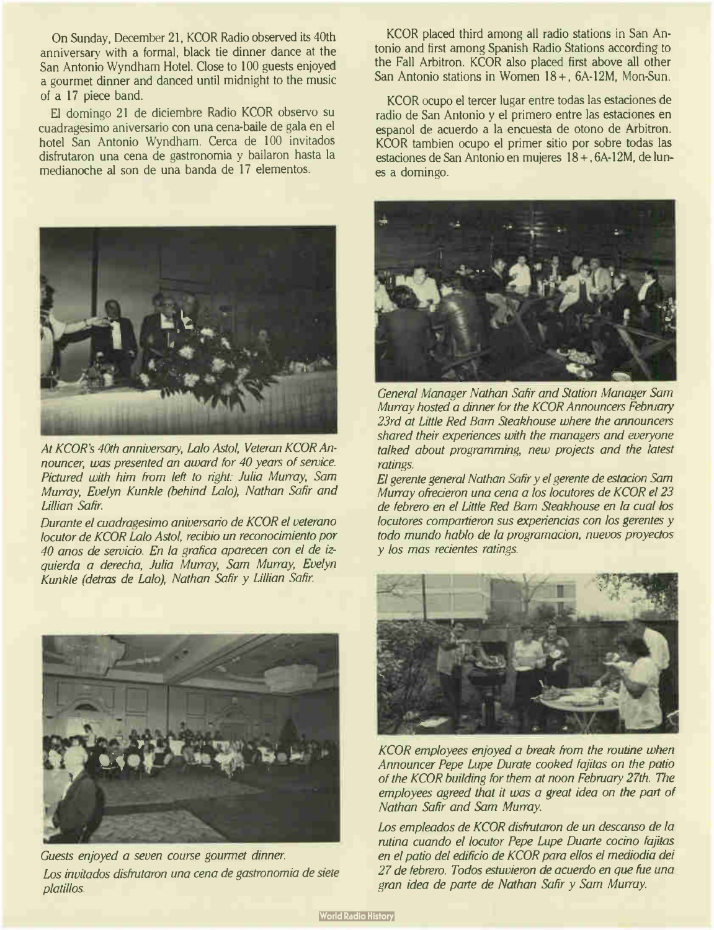On Sunday, December 21, KCOR Radio observed its 40th anniversary with a formal, black tie dinner dance at the San Antonio Wyndham Hotel. Close to 100 guests enjoyed a gourmet dinner and danced until midnight to the music of a 17 piece band.

El domingo 21 de diciembre Radio KCOR observo su cuadragesimo aniversario con una cena-baile de gala en el hotel San Antonio Wyndham. Cerca de 100 invitados disfrutaron una cena de gastronomia y bailaron hasta la medianoche al son de una banda de 17 elementos.



At KCOR's 40th anniversary, Lalo Astol, Veteran KCOR Announcer, was presented an award for 40 years of service. Pictured with him from left to right: Julia Murray, Sam Murray, Evelyn Kunkle (behind Lalo), Nathan Safir and Lillian Safir.

Durante el cuadragesimo aniversario de KCOR el veterano locutor de KCOR Lalo Astol, recibio un reconocimiento por 40 anos de servicio. En la grafica aparecen con el de izquierda a derecha, Julia Murray, Sam Murray, Evelyn Kunkle (detras de Lalo), Nathan Safir y Lillian Safir.



Guests enjoyed a seven course gourmet dinner. Los invitados disfrutaron una cena de gastronomia de siete platillos.

KCOR placed third among all radio stations in San Antonio and first among Spanish Radio Stations according to the Fall Arbitron. KCOR also placed first above all other San Antonio stations in Women 18+, 6A-12M, Mon-Sun.

KCOR ocupo el tercer lugar entre todas las estaciones de radio de San Antonio y el primero entre las estaciones en espanol de acuerdo a la encuesta de otono de Arbitron. KCOR tambien ocupo el primer sitio por sobre todas las estaciones de San Antonio en mujeres 18 + , 6A- 12M, de lunes a domingo.



General Manager Nathan Safir and Station Manager Sam Murray hosted a dinner for the KCOR Announcers February 23rd at Little Red Barn Steakhouse where the announcers shared their experiences with the managers and everyone talked about programming, new projects and the latest ratings.

El gerente general Nathan Safir y el gerente de estacion Sam Murray ofrecieron una cena a los locutores de KCOR el 23 de febrero en el Little Red Barn Steakhouse en la cual los locutores compartieron sus experiencias con los gerentes y todo mundo hablo de la programacion, nuevos proyectos y los mas recientes ratings.



KCOR employees enjoyed a break from the routine when Announcer Pepe Lupe Durate cooked fajitas on the patio of the KCOR building for them at noon February 27th. The employees agreed that it was a great idea on the part of Nathan Safir and Sam Murray.

Los empleados de KCOR disfrutaron de un descanso de la rutina cuando el locutor Pepe Lupe Duarte cocino fajitas en el patio del edificio de KCOR para ellos el mediodia dei 27 de febrero. Todos estuvieron de acuerdo en que fue una gran idea de parte de Nathan Safir y Sam Murray.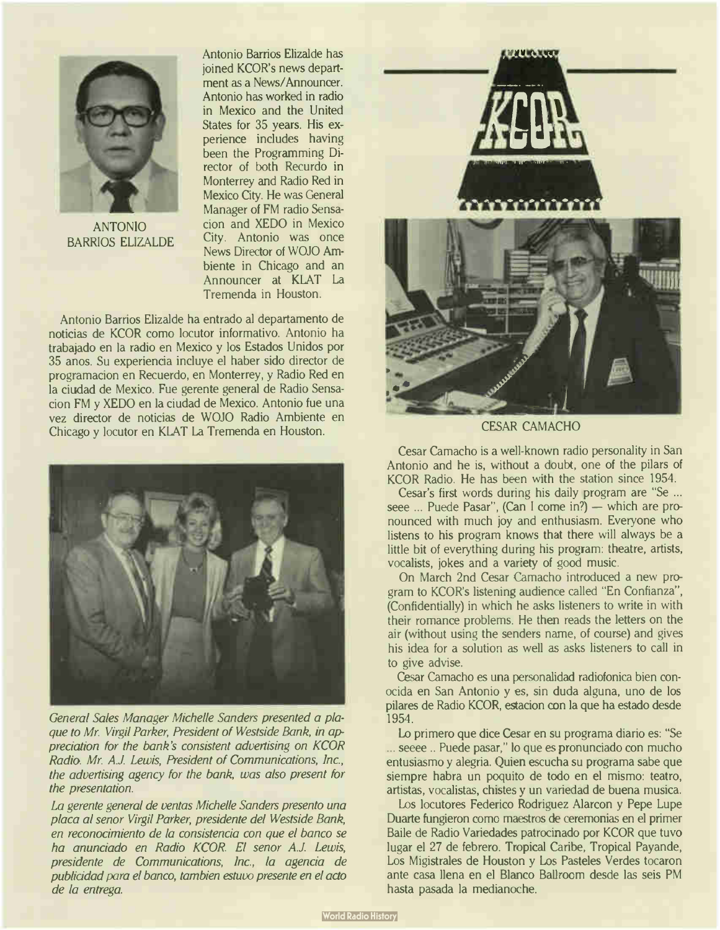

ANTONIO BARRIOS ELIZALDE

Antonio Barrios ElizaIde has joined KCOR's news department as a News/Announcer. Antonio has worked in radio in Mexico and the United States for 35 years. His experience includes having been the Programming Director of both Recurdo in Monterrey and Radio Red in Mexico City. He was General Manager of FM radio Sensacion and XEDO in Mexico City. Antonio was once News Director of WOJO Ambiente in Chicago and an Announcer at KLAT La Tremenda in Houston.

Antonio Barrios Elizalde ha entrado al departamento de noticias de KCOR como locutor informativo. Antonio ha trabajado en la radio en Mexico y los Estados Unidos por 35 anos. Su experiencia incluye el haber sido director de programacion en Recuerdo, en Monterrey, y Radio Red en la ciudad de Mexico. Fue gerente general de Radio Sensacion FM y XEDO en la ciudad de Mexico. Antonio fue una vez director de noticias de WOJO Radio Ambiente en Chicago y locutor en KLAT La Tremenda en Houston.



General Sales Manager Michelle Sanders presented a plaque to Mr. Virgil Parker, President of Westside Bank, in appreciation for the bank's consistent advertising on KCOR Radio. Mr. A.J. Lewis, President of Communications, Inc., the advertising agency for the bank, was also present for the presentation.

La gerente general de ventas Michelle Sanders presento una placa al senor Virgil Parker, presidente del Westside Bank, en reconocimiento de la consistencia con que el banco se ha anunciado en Radio KCOR. El senor A.J. Lewis, presidente de Communications, Inc., la agencia de publicidad para el banco, tambien estuvo presente en el acto de la entrega.



CESAR CAMACHO

Cesar Camacho is a well-known radio personality in San Antonio and he is, without a doubt, one of the pilars of KCOR Radio. He has been with the station since 1954.

Cesar's first words during his daily program are "Se ... seee ... Puede Pasar", (Can I come in?) — which are pronounced with much joy and enthusiasm. Everyone who listens to his program knows that there will always be a little bit of everything during his program: theatre, artists, vocalists, jokes and a variety of good music.

On March 2nd Cesar Camacho introduced a new program to KCOR's listening audience called "En Confianza", (Confidentially) in which he asks listeners to write in with their romance problems. He then reads the letters on the air (without using the senders name, of course) and gives his idea for a solution as well as asks listeners to call in to give advise.

Cesar Camacho es una personalidad radiofonica bien conocida en San Antonio y es, sin duda alguna, uno de los pilares de Radio KCOR, estacion con la que ha estado desde 1954.

Lo primero que dice Cesar en su programa diario es: "Se seeee.. Puede pasar," lo que es pronunciado con mucho entusiasmo y alegria. Quien escucha su programa sabe que siempre habra un poquito de todo en el mismo: teatro, artistas, vocalistas, chistes y un variedad de buena musica.

Los locutores Federico Rodriguez Alarcon y Pepe Lupe Duarte fungieron como maestros de ceremonias en el primer Baile de Radio Variedades patrocinado por KCOR que tuvo lugar el 27 de febrero. Tropical Caribe, Tropical Payande, Los Migistrales de Houston y Los Pasteles Verdes tocaron ante casa llena en el Blanco Ballroom desde las seis PM hasta pasada la medianoche.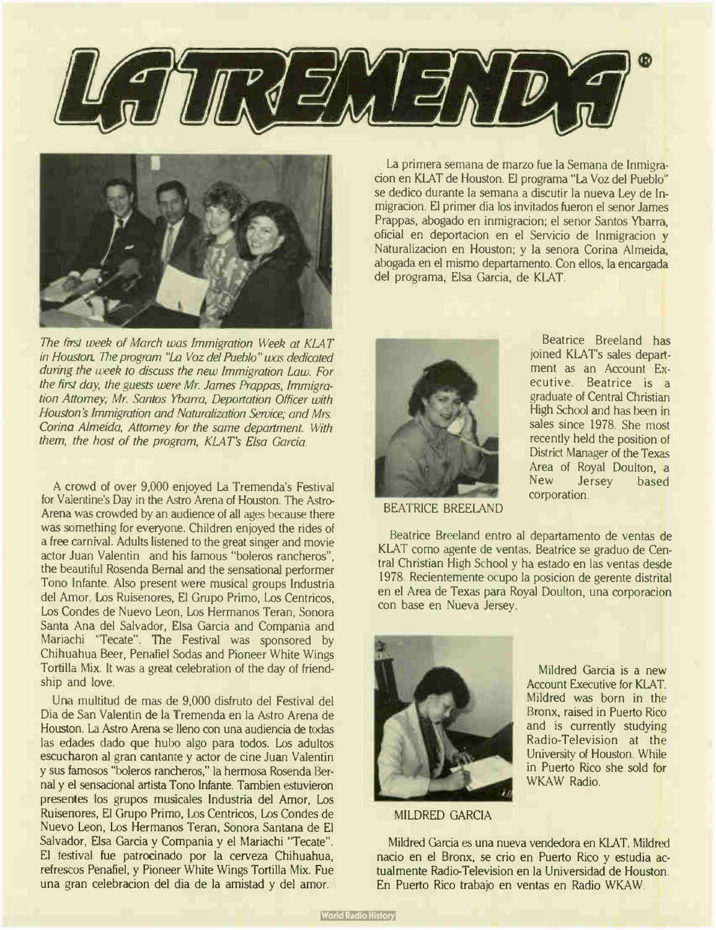



The first week of March was Immigration Week at KLAT in Houston. The program "La Voz del Pueblo" was dedicated during the week to discuss the new Immigration Law. For the first day, the guests were Mr. James Prappas, Immigration Attorney; Mr. Santos Ybarra, Deportation Officer with Houston's Immigration and Naturalization Service; and Mrs. Corina Almeida, Attorney for the same department. With them, the host of the program, KLAT's Elsa Garcia.

A crowd of over 9,000 enjoyed La Tremenda's Festival for Valentine's Day in the Astro Arena of Houston. The Astro-Arena was crowded by an audience of all ages because there was something for everyone. Children enjoyed the rides of a free carnival. Adults listened to the great singer and movie actor Juan Valentin and his famous "boleros rancheros", the beautiful Rosenda Bernal and the sensational performer Tono Infante. Also present were musical groups Industria del Amor. Los Ruisenores, El Grupo Primo, Los Centricos, Los Condes de Nuevo Leon, Los Hermanos Teran, Sonora Santa Ana del Salvador, Elsa Garcia and Compania and Mariachi "Tecate". The Festival was sponsored by Chihuahua Beer, Penafiel Sodas and Pioneer White Wings Tortilla Mix. It was a great celebration of the day of friendship and love.

Una multitud de mas de 9,000 disfruto del Festival del Dia de San Valentin de la Tremenda en la Astro Arena de Houston. La Astro Arena se lleno con una audiencia de todas las edades dado que hubo algo para todos. Los adultos escucharon al gran cantante y actor de cine Juan Valentin y sus famosos "boleros rancheros," la hermosa Rosenda Bernal y el sensacional artista Tono Infante. Tambien estuvieron presentes los grupos musicales Industria del Amor, Los Ruisenores, El Grupo Primo, Los Centricos, Los Condes de Nuevo Leon, Los Hermanos Teran, Sonora Santana de El Salvador, Elsa Garcia y Compania y el Mariachi "Tecate". El festival fue patrocinado por la cerveza Chihuahua, refrescos Penafiel, y Pioneer White Wings Tortilla Mix. Fue una gran celebracion del dia de la amistad y del amor.

La primera semana de marzo fue la Semana de Inmigracion en KLAT de Houston. El programa "La Voz del Pueblo" se dedico durante la semana a discutir la nueva Ley de Inmigracion. El primer dia los invitados fueron el senor James Prappas, abogado en inmigracion; el senor Santos Ybarra, oficial en deportacion en el Servicio de Inmigracion y Naturalizacion en Houston; y la senora Corina Almeida, abogada en el mismo departamento. Con ellos, la encargada del programa, Elsa Garcia, de KLAT.



BEATRICE BREELAND

Beatrice Breeland has joined KLAT's sales department as an Account Executive. Beatrice is a graduate of Central Christian High School and has been in sales since 1978. She most recently held the position of District Manager of the Texas Area of Royal Doulton, a<br>New Jersey based Jersey based corporation.

Beatrice Breeland entro al departamento de yentas de KLAT como agente de yentas. Beatrice se graduo de Central Christian High School y ha estado en las yentas desde 1978. Recientemente ocupo la posicion de gerente distrital en el Area de Texas para Royal Doulton, una corporacion con base en Nueva Jersey.



Mildred Garcia is a new Account Executive for KLAT. Mildred was born in the Bronx, raised in Puerto Rico and is currently studying Radio-Television at the University of Houston. While in Puerto Rico she sold for WKAW Radio.

MILDRED GARCIA

Mildred Garcia es una nueva vendedora en KLAT. Mildred nacio en el Bronx, se crio en Puerto Rico y estudia actualmente Radio-Television en la Universidad de Houston. En Puerto Rico trabajo en yentas en Radio WKAW.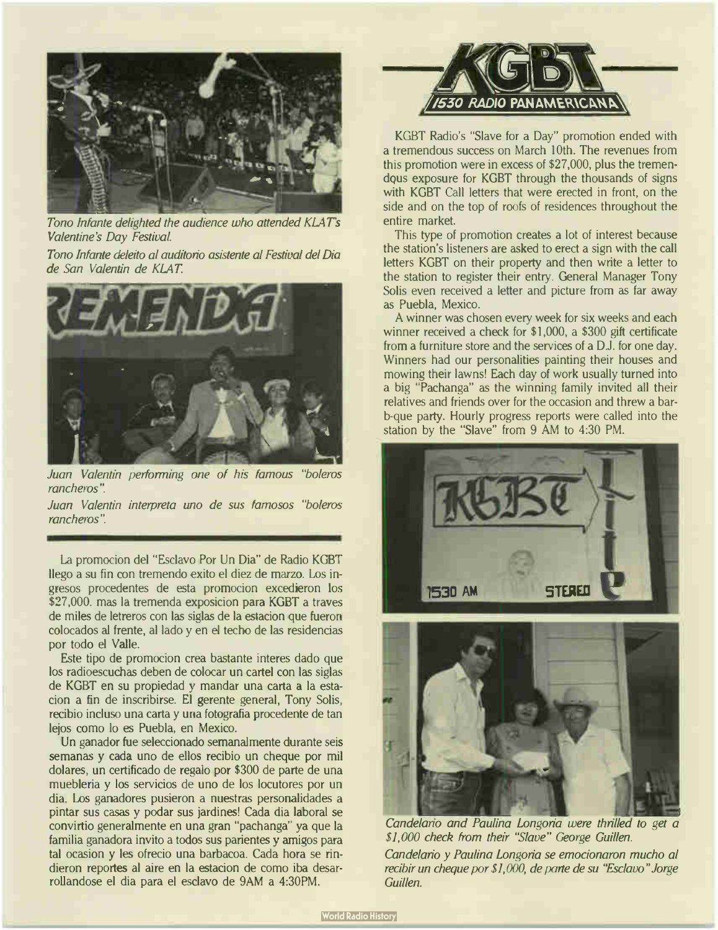

Tono Infante delighted the audience who attended KLATs Valentine's Day Festival.

Tono Infante deleito al auditorio asistente al Festival del Dia de San Valentin de KLAT



Juan Valentin performing one of his famous "boleros rancheros".

Juan Valentin interpreta uno de sus famosos "boleros rancheros".

La promocion del "Esclavo Por Un Dia" de Radio KGBT llego a su fin con tremendo exito el diez de marzo. Los ingresos procedentes de esta promocion excedieron los \$27,000. mas la tremenda exposicion para KGBT a traves de miles de letreros con las siglas de la estacion que fueron colocados al frente, al lado y en el techo de las residencias por todo el Valle.

Este tipo de promocion crea bastante interes dado que los radioescuchas deben de colocar un cartel con las siglas de KGBT en su propiedad y mandar una carta a la estacion a fin de inscribirse. El gerente general, Tony Solis, recibio incluso una carta y una fotografia procedente de tan lejos como lo es Puebla, en Mexico.

Un ganador fue seleccionado semanalmente durante seis semanas y cada uno de ellos recibio un cheque por mil dolares, un certificado de regalo por \$300 de parte de una muebleria y los servicios de uno de los locutores por un dia. Los ganadores pusieron a nuestras personalidades a pintar sus casas y podar sus jardines! Cada dia laboral se convirtio generalmente en una gran " pachanga" ya que la familia ganadora invito a todos sus parientes y amigos para tal ocasion y les ofrecio una barbacoa. Cada hora se rindieron reportes al aire en la estacion de como iba desarrollandose el dia para el esclavo de 9AM a 4:30PM.



KGBT Radio's "Slave for a Day" promotion ended with a tremendous success on March 10th. The revenues from this promotion were in excess of \$27,000, plus the tremendous exposure for KGBT through the thousands of signs with KGBT Call letters that were erected in front, on the side and on the top of roofs of residences throughout the entire market.

This type of promotion creates a lot of interest because the station's listeners are asked to erect a sign with the call letters KGBT on their property and then write a letter to the station to register their entry. General Manager Tony Solis even received a letter and picture from as far away as Puebla, Mexico.

A winner was chosen every week for six weeks and each winner received a check for \$1,000, a \$300 gift certificate from a furniture store and the services of a D.J. for one day. Winners had our personalities painting their houses and mowing their lawns! Each day of work usually turned into a big "Pachanga" as the winning family invited all their relatives and friends over for the occasion and threw a barb-que party. Hourly progress reports were called into the station by the "Slave" from 9 AM to 4:30 PM.





Candelario and Paulina Longoria were thrilled to get a \$1,000 check from their "Slave" George Guillen.

Candelano y Paulina Longoria se emocionaron mucho al recibir un cheque por \$1,000, de parte de su "Esclavo" Jorge Guillen.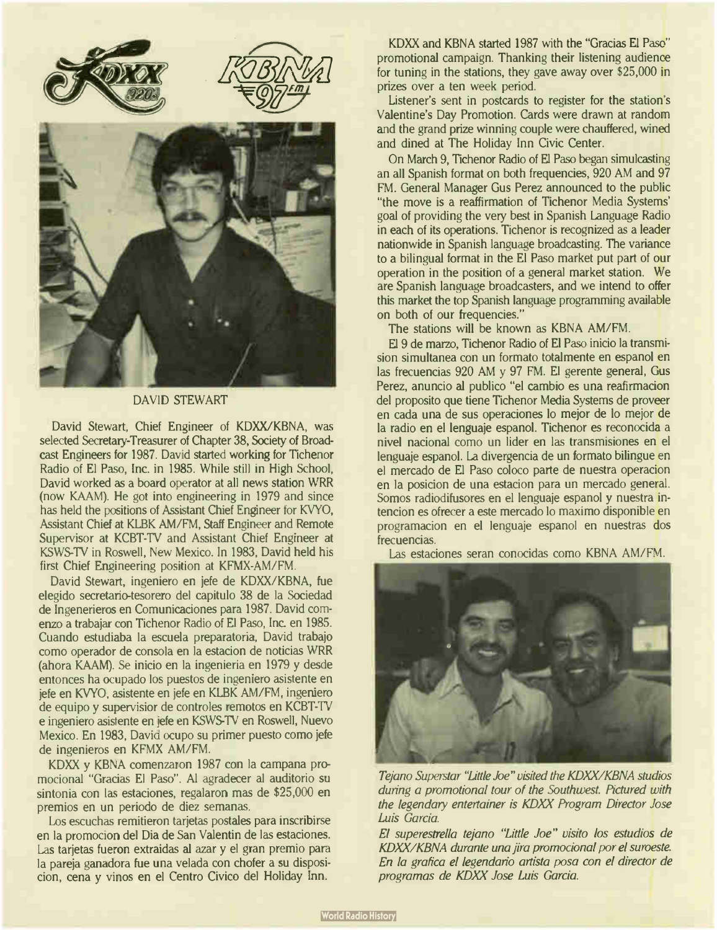

#### DAVID STEWART

David Stewart, Chief Engineer of KDXX/KBNA, was selected Secretary-Treasurer of Chapter 38, Society of Broadcast Engineers for 1987. David started working for Tichenor Radio of El Paso, Inc. in 1985. While still in High School, David worked as a board operator at all news station WRR (now KAAM). He got into engineering in 1979 and since has held the positions of Assistant Chief Engineer tor KVYO, Assistant Chief at KLBK AM/FM, Staff Engineer and Remote Supervisor at KCBT-TV and Assistant Chief Engineer at KSWS-TV in Roswell, New Mexico. In 1983, David held his first Chief Engineering position at KFMX-AM/FM.

David Stewart, ingeniero en jefe de KDXX/KBNA, fue elegido secretario-tesorero del capitulo 38 de la Sociedad de Ingenerieros en Comunicaciones para 1987. David cornenzo a trabajar con Tichenor Radio of El Paso, Inc. en 1985. Cuando estudiaba la escuela preparatoria, David trabajo como operador de consola en la estacion de noticias WRR (ahora KAAM). Se inicio en la ingenieria en 1979 y desde entonces ha ocupado los puestos de ingeniero asistente en jefe en KVYO, asistente en jefe en KLBK AM/FM, ingeniero de equipo y supervisior de controles remotos en KCBT-TV e ingeniero asistente en jefe en KSWS-TV en Roswell, Nuevo Mexico. En 1983, David ocupo su primer puesto como jefe de ingenieros en KFMX AM/FM.

KDXX y KBNA comenzaron 1987 con la campana promocional "Gracias El Paso". Al agradecer al auditorio su sintonia con las estaciones, regalaron mas de \$25,000 en premios en un periodo de diez semanas.

Los escuchas remitieron tarjetas postales para inscribirse en la promocion del Dia de San Valentin de las estaciones. Las tarjetas fueron extraidas al azar y el gran premio para la pareja ganadora fue una velada con chofer a su disposicion, cena y vinos en el Centro Civico del Holiday Inn.

KDXX and KBNA started 1987 with the "Gracias El Paso" promotional campaign. Thanking their listening audience for tuning in the stations, they gave away over \$25,000 in prizes over a ten week period.

Listener's sent in postcards to register for the station's Valentine's Day Promotion. Cards were drawn at random and the grand prize winning couple were chauffered, wined and dined at The Holiday Inn Civic Center.

On March 9, Tichenor Radio of El Paso began simulcasting an all Spanish format on both frequencies, 920 AM and 97 FM. General Manager Gus Perez announced to the public "the move is a reaffirmation of Tichenor Media Systems' goal of providing the very best in Spanish Language Radio in each of its operations. Tichenor is recognized as a leader nationwide in Spanish language broadcasting. The variance to a bilingual format in the El Paso market put part of our operation in the position of a general market station. We are Spanish language broadcasters, and we intend to offer this market the top Spanish language programming available on both of our frequencies."

The stations will be known as KBNA AM/FM.

El 9 de marzo, Tichenor Radio of El Paso inicio la transmision simultanea con un formato totalmente en espanol en las frecuencias 920 AM y 97 FM. El gerente general, Gus Perez, anuncio al publico "el cambio es una reafirmacion del proposito que tiene Tichenor Media Systems de proveer en cada una de sus operaciones lo mejor de lo mejor de la radio en el lenguaje espanol. Tichenor es reconocida a nivel nacional como un lider en las transmisiones en el lenguaje espanol. La divergencia de un formato bilingue en el mercado de El Paso coloco parte de nuestra operacion en la posicion de una estacion para un mercado general. Somos radiodifusores en el lenguaje espanol y nuestra intencion es ofrecer a este mercado lo maximo disponible en programacion en el lenguaje espanol en nuestras dos frecuencias.

Las estaciones seran conocidas como KBNA AM/FM.



Tejano Superstar "Little Joe" visited the KDXX/KBNA studios during a promotional tour of the Southwest. Pictured with the legendary entertainer is KDXX Program Director Jose Luis Garcia.

El superestrella tejano "Little Joe" visito los estudios de KDXX/KBNA durante una jira promocional por el suroeste. En la grafica el legendario artista posa con el director de programas de KDXX Jose Luis Garcia.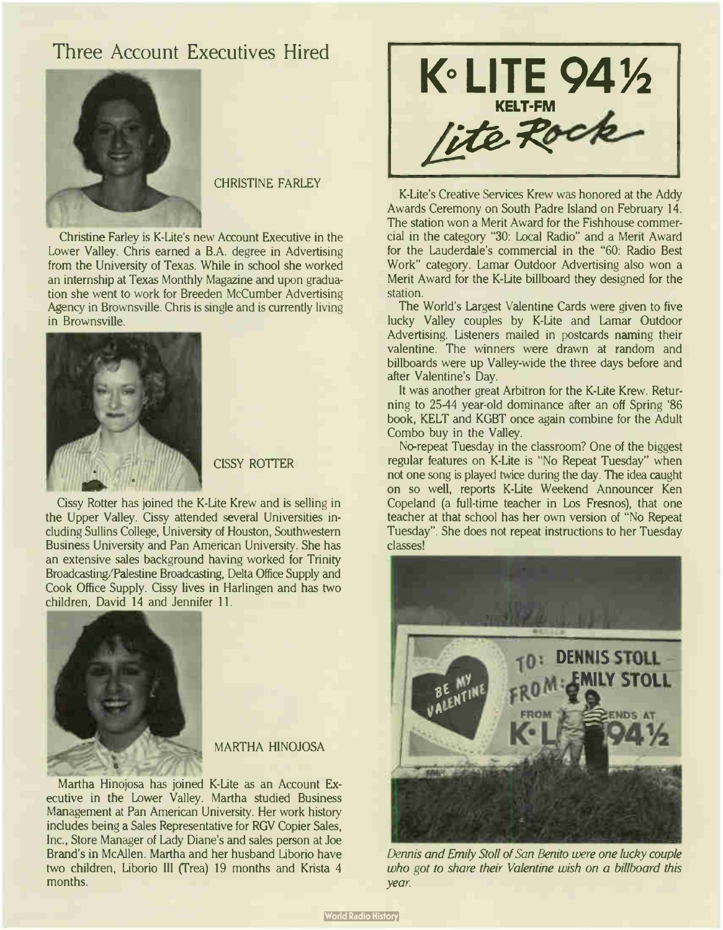## Three Account Executives Hired



CHRISTINE FARLEY

Christine Farley is K-Lite's new Account Executive in the Lower Valley. Chris earned a B.A. degree in Advertising from the University of Texas. While in school she worked an internship at Texas Monthly Magazine and upon graduation she went to work for Breeden McCumber Advertising Agency in Brownsville. Chris is single and is currently living in Brownsville.



**CISSY ROTTER** 

Cissy Rotter has joined the K-Lite Krew and is selling in the Upper Valley. Cissy attended several Universities including Sullins College, University of Houston, Southwestern Business University and Pan American University. She has an extensive sales background having worked for Trinity Broadcasting/Palestine Broadcasting, Delta Office Supply and Cook Office Supply. Cissy lives in Harlingen and has two children, David 14 and Jennifer 11.



#### MARTHA HINOJOSA

Martha Hinojosa has joined K-Lite as an Account Executive in the Lower Valley. Martha studied Business Management at Pan American University. Her work history includes being a Sales Representative for RGV Copier Sales, Inc., Store Manager of Lady Diane's and sales person at Joe Brand's in McAllen. Martha and her husband Liborio have two children, Liborio III (Trea) 19 months and Krista 4 months.



K-Lite's Creative Services Krew was honored at the Addy Awards Ceremony on South Padre Island on February 14. The station won a Merit Award for the Fishhouse commercial in the category "30: Local Radio" and a Merit Award for the Lauderdale's commercial in the "60: Radio Best Work" category. Lamar Outdoor Advertising also won a Merit Award for the K-Lite billboard they designed for the station.

The World's Largest Valentine Cards were given to five lucky Valley couples by K-Lite and Lamar Outdoor Advertising. Listeners mailed in postcards naming their valentine. The winners were drawn at random and billboards were up Valley-wide the three days before and after Valentine's Day.

It was another great Arbitron for the K-Lite Krew. Returning to 25-44 year-old dominance after an off Spring '86 book, KELT and KGBT once again combine for the Adult Combo buy in the Valley.

No-repeat Tuesday in the classroom? One of the biggest regular features on K-Lite is " No Repeat Tuesday" when not one song is played twice during the day. The idea caught on so well, reports K-Lite Weekend Announcer Ken Copeland (a full-time teacher in Los Fresnos), that one teacher at that school has her own version of " No Repeat Tuesday". She does not repeat instructions to her Tuesday classes!



Dennis and Emily Stoll of San Benito were one lucky couple who got to share their Valentine wish on a billboard this year.